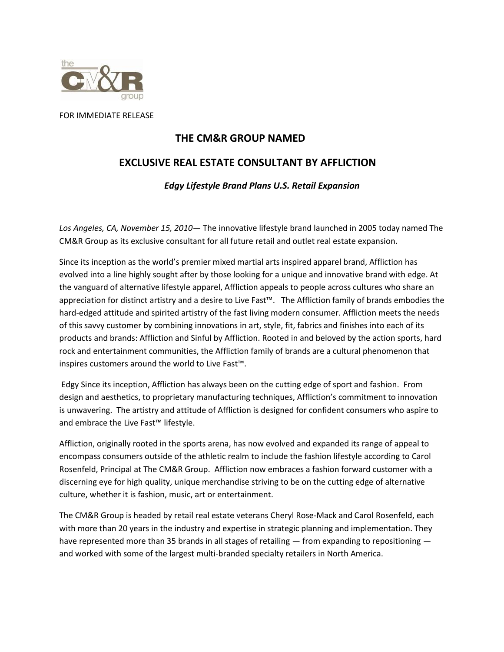

FOR IMMEDIATE RELEASE

# **THE CM&R GROUP NAMED**

# **EXCLUSIVE REAL ESTATE CONSULTANT BY AFFLICTION**

## *Edgy Lifestyle Brand Plans U.S. Retail Expansion*

*Los Angeles, CA, November 15, 2010*— The innovative lifestyle brand launched in 2005 today named The CM&R Group as its exclusive consultant for all future retail and outlet real estate expansion.

Since its inception as the world's premier mixed martial arts inspired apparel brand, Affliction has evolved into a line highly sought after by those looking for a unique and innovative brand with edge. At the vanguard of alternative lifestyle apparel, Affliction appeals to people across cultures who share an appreciation for distinct artistry and a desire to Live Fast™. The Affliction family of brands embodies the hard-edged attitude and spirited artistry of the fast living modern consumer. Affliction meets the needs of this savvy customer by combining innovations in art, style, fit, fabrics and finishes into each of its products and brands: Affliction and Sinful by Affliction. Rooted in and beloved by the action sports, hard rock and entertainment communities, the Affliction family of brands are a cultural phenomenon that inspires customers around the world to Live Fast™.

Edgy Since its inception, Affliction has always been on the cutting edge of sport and fashion. From design and aesthetics, to proprietary manufacturing techniques, Affliction's commitment to innovation is unwavering. The artistry and attitude of Affliction is designed for confident consumers who aspire to and embrace the Live Fast™ lifestyle.

Affliction, originally rooted in the sports arena, has now evolved and expanded its range of appeal to encompass consumers outside of the athletic realm to include the fashion lifestyle according to Carol Rosenfeld, Principal at The CM&R Group. Affliction now embraces a fashion forward customer with a discerning eye for high quality, unique merchandise striving to be on the cutting edge of alternative culture, whether it is fashion, music, art or entertainment.

The CM&R Group is headed by retail real estate veterans Cheryl Rose‐Mack and Carol Rosenfeld, each with more than 20 years in the industry and expertise in strategic planning and implementation. They have represented more than 35 brands in all stages of retailing — from expanding to repositioning and worked with some of the largest multi‐branded specialty retailers in North America.